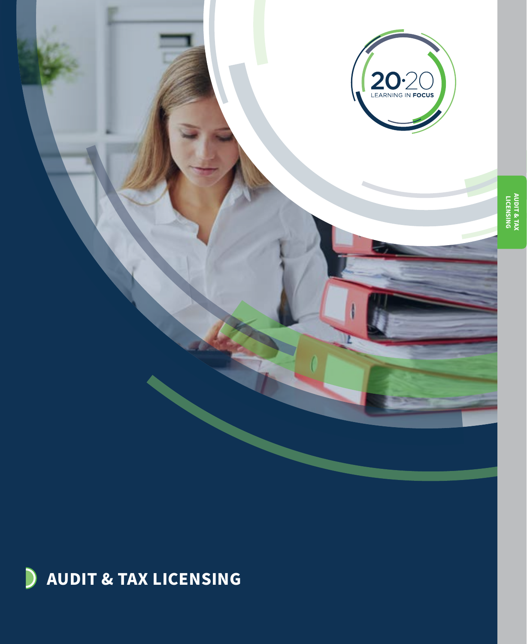

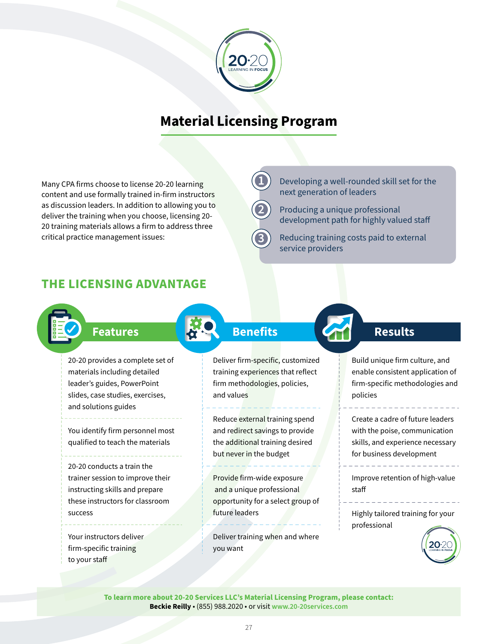

## **Material Licensing Program**

**1**

**2**

**3**

Many CPA firms choose to license 20-20 learning content and use formally trained in-firm instructors as discussion leaders. In addition to allowing you to deliver the training when you choose, licensing 20- 20 training materials allows a firm to address three critical practice management issues:

Developing a well-rounded skill set for the next generation of leaders

Producing a unique professional development path for highly valued staff

Reducing training costs paid to external service providers

### **THE LICENSING ADVANTAGE**



## **Features Benefits Com** Results

20-20 provides a complete set of materials including detailed leader's guides, PowerPoint slides, case studies, exercises, and solutions guides

You identify firm personnel most qualified to teach the materials

20-20 conducts a train the trainer session to improve their instructing skills and prepare these instructors for classroom success

Your instructors deliver firm-specific training to your staff

Deliver firm-specific, customized training experiences that reflect firm methodologies, policies, and values

Reduce external training spend and redirect savings to provide the additional training desired but never in the budget

Provide firm-wide exposure and a unique professional opportunity for a select group of future leaders

Deliver training when and where you want

Build unique firm culture, and enable consistent application of firm-specific methodologies and policies

Create a cadre of future leaders with the poise, communication skills, and experience necessary for business development

Improve retention of high-value staff

Highly tailored training for your professional



**To learn more about 20-20 Services LLC's Material Licensing Program, please contact: Beckie Reilly** • (855) 988.2020 • or visit **[www.20-20services.com](http://www.20-20services.com)**